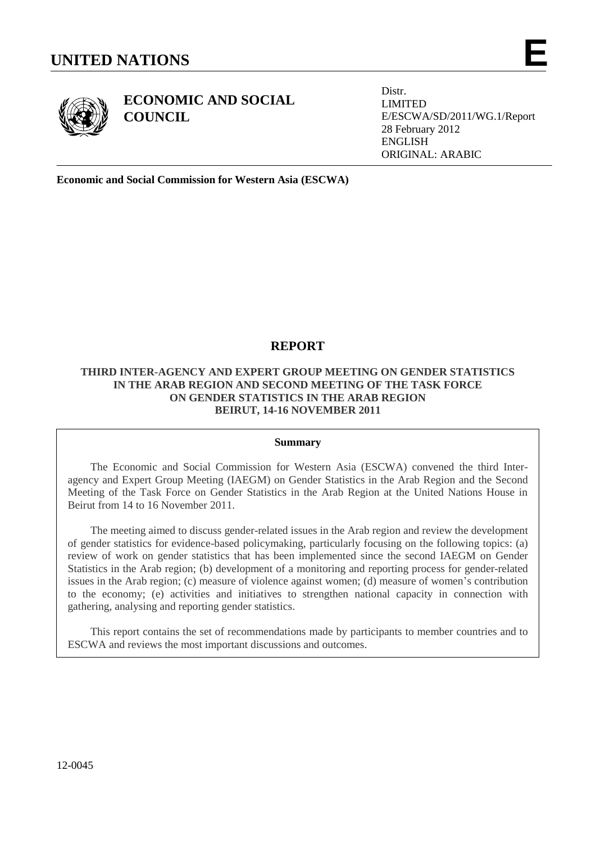

**ECONOMIC AND SOCIAL**

**COUNCIL**

Distr. LIMITED E/ESCWA/SD/2011/WG.1/Report 28 February 2012 ENGLISH ORIGINAL: ARABIC

**Economic and Social Commission for Western Asia (ESCWA)**

# **REPORT**

# **THIRD INTER-AGENCY AND EXPERT GROUP MEETING ON GENDER STATISTICS IN THE ARAB REGION AND SECOND MEETING OF THE TASK FORCE ON GENDER STATISTICS IN THE ARAB REGION BEIRUT, 14-16 NOVEMBER 2011**

### **Summary**

The Economic and Social Commission for Western Asia (ESCWA) convened the third Interagency and Expert Group Meeting (IAEGM) on Gender Statistics in the Arab Region and the Second Meeting of the Task Force on Gender Statistics in the Arab Region at the United Nations House in Beirut from 14 to 16 November 2011.

The meeting aimed to discuss gender-related issues in the Arab region and review the development of gender statistics for evidence-based policymaking, particularly focusing on the following topics: (a) review of work on gender statistics that has been implemented since the second IAEGM on Gender Statistics in the Arab region; (b) development of a monitoring and reporting process for gender-related issues in the Arab region; (c) measure of violence against women; (d) measure of women's contribution to the economy; (e) activities and initiatives to strengthen national capacity in connection with gathering, analysing and reporting gender statistics.

This report contains the set of recommendations made by participants to member countries and to ESCWA and reviews the most important discussions and outcomes.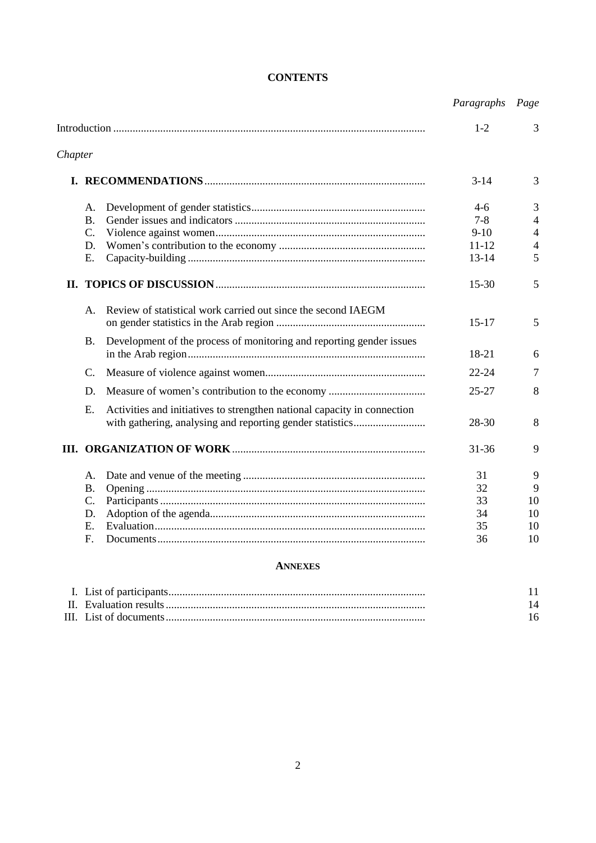|         |                 |                                                                          | Paragraphs Page |                          |
|---------|-----------------|--------------------------------------------------------------------------|-----------------|--------------------------|
|         |                 |                                                                          | $1-2$           | 3                        |
| Chapter |                 |                                                                          |                 |                          |
|         |                 |                                                                          | $3 - 14$        | 3                        |
|         | А.              |                                                                          | $4-6$           | 3                        |
|         | $\mathbf{B}$ .  |                                                                          | $7 - 8$         | $\overline{\mathcal{A}}$ |
|         | $\mathcal{C}$ . |                                                                          | $9-10$          | 4                        |
|         | D.              |                                                                          | $11 - 12$       | 4                        |
|         | E.              |                                                                          | $13 - 14$       | 5                        |
|         |                 |                                                                          | $15 - 30$       | 5                        |
|         | A.              | Review of statistical work carried out since the second IAEGM            | $15 - 17$       | 5                        |
|         | <b>B.</b>       | Development of the process of monitoring and reporting gender issues     | 18-21           | 6                        |
|         | C.              |                                                                          | $22 - 24$       | $\tau$                   |
|         | D.              |                                                                          | $25 - 27$       | 8                        |
|         | Е.              | Activities and initiatives to strengthen national capacity in connection |                 |                          |
|         |                 |                                                                          | 28-30           | 8                        |
|         |                 |                                                                          | $31 - 36$       | 9                        |
|         | А.              |                                                                          | 31              | 9                        |
|         | <b>B.</b>       |                                                                          | 32              | 9                        |
|         | C.              |                                                                          | 33              | 10                       |
|         | D.              |                                                                          | 34              | 10                       |
|         | Ε.              |                                                                          | 35              | 10                       |
|         | F.              |                                                                          | 36              | 10                       |

# **ANNEXES**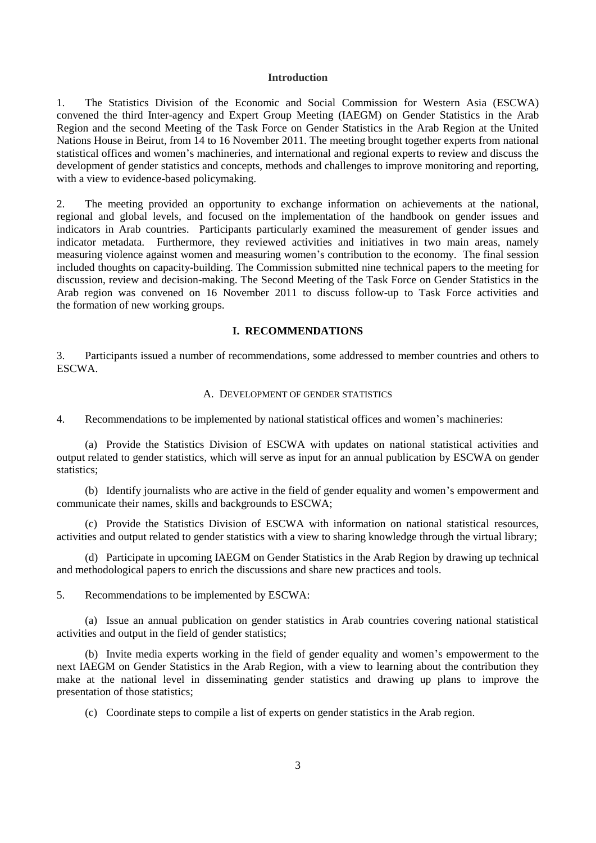## **Introduction**

1. The Statistics Division of the Economic and Social Commission for Western Asia (ESCWA) convened the third Inter-agency and Expert Group Meeting (IAEGM) on Gender Statistics in the Arab Region and the second Meeting of the Task Force on Gender Statistics in the Arab Region at the United Nations House in Beirut, from 14 to 16 November 2011. The meeting brought together experts from national statistical offices and women's machineries, and international and regional experts to review and discuss the development of gender statistics and concepts, methods and challenges to improve monitoring and reporting, with a view to evidence-based policymaking.

2. The meeting provided an opportunity to exchange information on achievements at the national, regional and global levels, and focused on the implementation of the handbook on gender issues and indicators in Arab countries. Participants particularly examined the measurement of gender issues and indicator metadata. Furthermore, they reviewed activities and initiatives in two main areas, namely measuring violence against women and measuring women's contribution to the economy. The final session included thoughts on capacity-building. The Commission submitted nine technical papers to the meeting for discussion, review and decision-making. The Second Meeting of the Task Force on Gender Statistics in the Arab region was convened on 16 November 2011 to discuss follow-up to Task Force activities and the formation of new working groups.

#### **I. RECOMMENDATIONS**

3. Participants issued a number of recommendations, some addressed to member countries and others to ESCWA.

#### A. DEVELOPMENT OF GENDER STATISTICS

4. Recommendations to be implemented by national statistical offices and women's machineries:

(a) Provide the Statistics Division of ESCWA with updates on national statistical activities and output related to gender statistics, which will serve as input for an annual publication by ESCWA on gender statistics;

(b) Identify journalists who are active in the field of gender equality and women's empowerment and communicate their names, skills and backgrounds to ESCWA;

(c) Provide the Statistics Division of ESCWA with information on national statistical resources, activities and output related to gender statistics with a view to sharing knowledge through the virtual library;

(d) Participate in upcoming IAEGM on Gender Statistics in the Arab Region by drawing up technical and methodological papers to enrich the discussions and share new practices and tools.

5. Recommendations to be implemented by ESCWA:

(a) Issue an annual publication on gender statistics in Arab countries covering national statistical activities and output in the field of gender statistics;

(b) Invite media experts working in the field of gender equality and women's empowerment to the next IAEGM on Gender Statistics in the Arab Region, with a view to learning about the contribution they make at the national level in disseminating gender statistics and drawing up plans to improve the presentation of those statistics;

(c) Coordinate steps to compile a list of experts on gender statistics in the Arab region.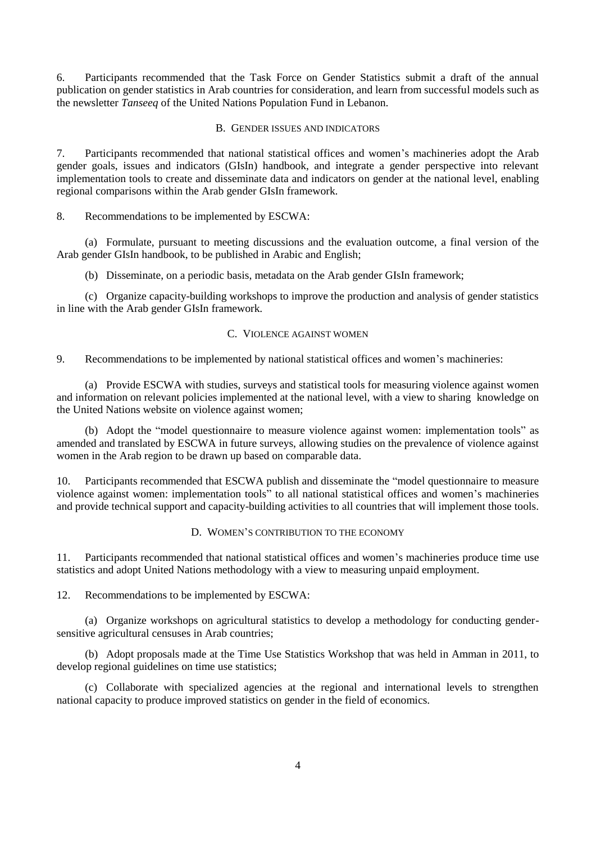6. Participants recommended that the Task Force on Gender Statistics submit a draft of the annual publication on gender statistics in Arab countries for consideration, and learn from successful models such as the newsletter *Tanseeq* of the United Nations Population Fund in Lebanon.

## B. GENDER ISSUES AND INDICATORS

7. Participants recommended that national statistical offices and women's machineries adopt the Arab gender goals, issues and indicators (GIsIn) handbook, and integrate a gender perspective into relevant implementation tools to create and disseminate data and indicators on gender at the national level, enabling regional comparisons within the Arab gender GIsIn framework.

8. Recommendations to be implemented by ESCWA:

(a) Formulate, pursuant to meeting discussions and the evaluation outcome, a final version of the Arab gender GIsIn handbook, to be published in Arabic and English;

(b) Disseminate, on a periodic basis, metadata on the Arab gender GIsIn framework;

(c) Organize capacity-building workshops to improve the production and analysis of gender statistics in line with the Arab gender GIsIn framework.

### C. VIOLENCE AGAINST WOMEN

9. Recommendations to be implemented by national statistical offices and women's machineries:

(a) Provide ESCWA with studies, surveys and statistical tools for measuring violence against women and information on relevant policies implemented at the national level, with a view to sharing knowledge on the United Nations website on violence against women;

(b) Adopt the "model questionnaire to measure violence against women: implementation tools" as amended and translated by ESCWA in future surveys, allowing studies on the prevalence of violence against women in the Arab region to be drawn up based on comparable data.

10. Participants recommended that ESCWA publish and disseminate the "model questionnaire to measure violence against women: implementation tools" to all national statistical offices and women's machineries and provide technical support and capacity-building activities to all countries that will implement those tools.

# D. WOMEN'S CONTRIBUTION TO THE ECONOMY

11. Participants recommended that national statistical offices and women's machineries produce time use statistics and adopt United Nations methodology with a view to measuring unpaid employment.

12. Recommendations to be implemented by ESCWA:

(a) Organize workshops on agricultural statistics to develop a methodology for conducting gendersensitive agricultural censuses in Arab countries;

(b) Adopt proposals made at the Time Use Statistics Workshop that was held in Amman in 2011, to develop regional guidelines on time use statistics;

(c) Collaborate with specialized agencies at the regional and international levels to strengthen national capacity to produce improved statistics on gender in the field of economics.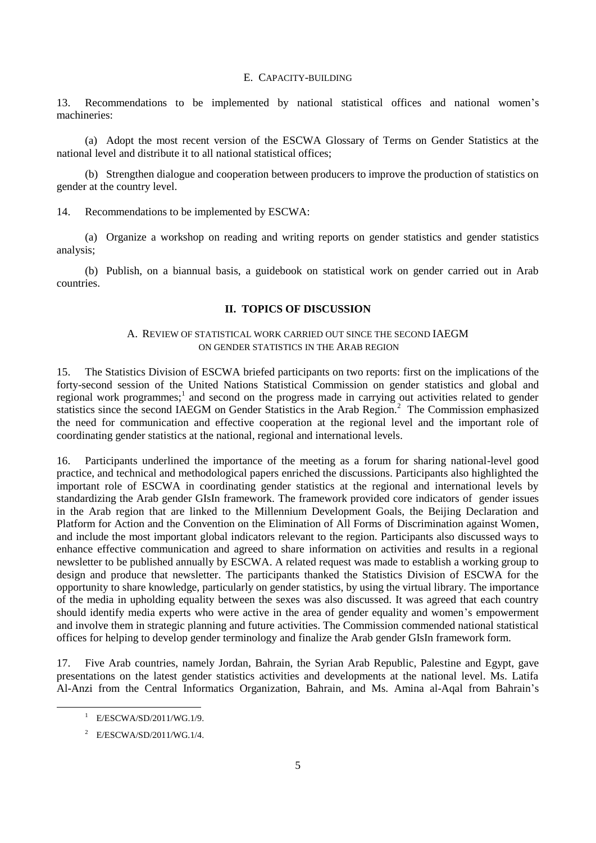#### E. CAPACITY-BUILDING

13. Recommendations to be implemented by national statistical offices and national women's machineries:

(a) Adopt the most recent version of the ESCWA Glossary of Terms on Gender Statistics at the national level and distribute it to all national statistical offices;

(b) Strengthen dialogue and cooperation between producers to improve the production of statistics on gender at the country level.

14. Recommendations to be implemented by ESCWA:

(a) Organize a workshop on reading and writing reports on gender statistics and gender statistics analysis;

(b) Publish, on a biannual basis, a guidebook on statistical work on gender carried out in Arab countries.

#### **II. TOPICS OF DISCUSSION**

## A. REVIEW OF STATISTICAL WORK CARRIED OUT SINCE THE SECOND IAEGM ON GENDER STATISTICS IN THE ARAB REGION

15. The Statistics Division of ESCWA briefed participants on two reports: first on the implications of the forty-second session of the United Nations Statistical Commission on gender statistics and global and regional work programmes;<sup>1</sup> and second on the progress made in carrying out activities related to gender statistics since the second IAEGM on Gender Statistics in the Arab Region.<sup>2</sup> The Commission emphasized the need for communication and effective cooperation at the regional level and the important role of coordinating gender statistics at the national, regional and international levels.

16. Participants underlined the importance of the meeting as a forum for sharing national-level good practice, and technical and methodological papers enriched the discussions. Participants also highlighted the important role of ESCWA in coordinating gender statistics at the regional and international levels by standardizing the Arab gender GIsIn framework. The framework provided core indicators of gender issues in the Arab region that are linked to the Millennium Development Goals, the Beijing Declaration and Platform for Action and the Convention on the Elimination of All Forms of Discrimination against Women, and include the most important global indicators relevant to the region. Participants also discussed ways to enhance effective communication and agreed to share information on activities and results in a regional newsletter to be published annually by ESCWA. A related request was made to establish a working group to design and produce that newsletter. The participants thanked the Statistics Division of ESCWA for the opportunity to share knowledge, particularly on gender statistics, by using the virtual library. The importance of the media in upholding equality between the sexes was also discussed. It was agreed that each country should identify media experts who were active in the area of gender equality and women's empowerment and involve them in strategic planning and future activities. The Commission commended national statistical offices for helping to develop gender terminology and finalize the Arab gender GIsIn framework form.

17. Five Arab countries, namely Jordan, Bahrain, the Syrian Arab Republic, Palestine and Egypt, gave presentations on the latest gender statistics activities and developments at the national level. Ms. Latifa Al-Anzi from the Central Informatics Organization, Bahrain, and Ms. Amina al-Aqal from Bahrain's

-

<sup>1</sup> E/ESCWA/SD/2011/WG.1/9.

<sup>2</sup> E/ESCWA/SD/2011/WG.1/4.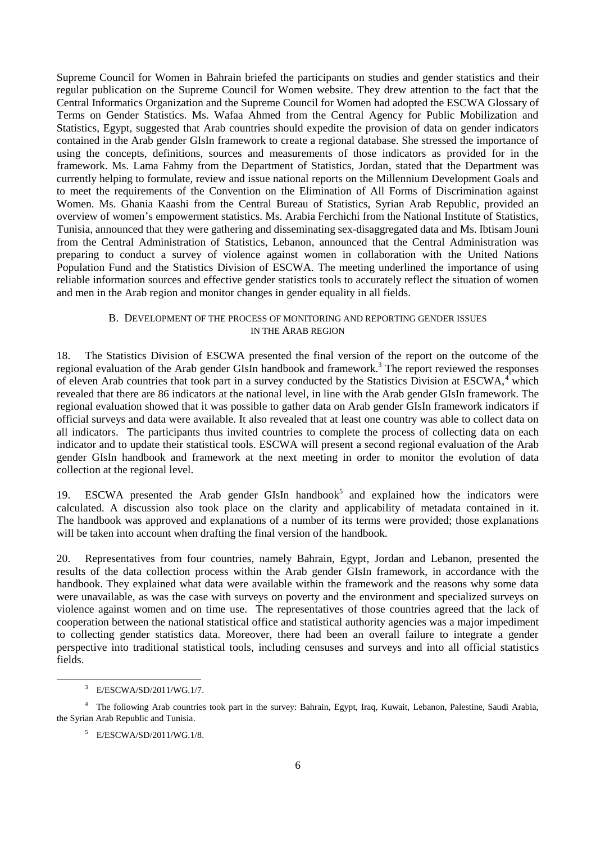Supreme Council for Women in Bahrain briefed the participants on studies and gender statistics and their regular publication on the Supreme Council for Women website. They drew attention to the fact that the Central Informatics Organization and the Supreme Council for Women had adopted the ESCWA Glossary of Terms on Gender Statistics. Ms. Wafaa Ahmed from the Central Agency for Public Mobilization and Statistics, Egypt, suggested that Arab countries should expedite the provision of data on gender indicators contained in the Arab gender GIsIn framework to create a regional database. She stressed the importance of using the concepts, definitions, sources and measurements of those indicators as provided for in the framework. Ms. Lama Fahmy from the Department of Statistics, Jordan, stated that the Department was currently helping to formulate, review and issue national reports on the Millennium Development Goals and to meet the requirements of the Convention on the Elimination of All Forms of Discrimination against Women. Ms. Ghania Kaashi from the Central Bureau of Statistics, Syrian Arab Republic, provided an overview of women's empowerment statistics. Ms. Arabia Ferchichi from the National Institute of Statistics, Tunisia, announced that they were gathering and disseminating sex-disaggregated data and Ms. Ibtisam Jouni from the Central Administration of Statistics, Lebanon, announced that the Central Administration was preparing to conduct a survey of violence against women in collaboration with the United Nations Population Fund and the Statistics Division of ESCWA. The meeting underlined the importance of using reliable information sources and effective gender statistics tools to accurately reflect the situation of women and men in the Arab region and monitor changes in gender equality in all fields.

## B. DEVELOPMENT OF THE PROCESS OF MONITORING AND REPORTING GENDER ISSUES IN THE ARAB REGION

18. The Statistics Division of ESCWA presented the final version of the report on the outcome of the regional evaluation of the Arab gender GIsIn handbook and framework.<sup>3</sup> The report reviewed the responses of eleven Arab countries that took part in a survey conducted by the Statistics Division at ESCWA,<sup>4</sup> which revealed that there are 86 indicators at the national level, in line with the Arab gender GIsIn framework. The regional evaluation showed that it was possible to gather data on Arab gender GIsIn framework indicators if official surveys and data were available. It also revealed that at least one country was able to collect data on all indicators. The participants thus invited countries to complete the process of collecting data on each indicator and to update their statistical tools. ESCWA will present a second regional evaluation of the Arab gender GIsIn handbook and framework at the next meeting in order to monitor the evolution of data collection at the regional level.

19. ESCWA presented the Arab gender GIsIn handbook<sup>5</sup> and explained how the indicators were calculated. A discussion also took place on the clarity and applicability of metadata contained in it. The handbook was approved and explanations of a number of its terms were provided; those explanations will be taken into account when drafting the final version of the handbook.

20. Representatives from four countries, namely Bahrain, Egypt, Jordan and Lebanon, presented the results of the data collection process within the Arab gender GIsIn framework, in accordance with the handbook. They explained what data were available within the framework and the reasons why some data were unavailable, as was the case with surveys on poverty and the environment and specialized surveys on violence against women and on time use. The representatives of those countries agreed that the lack of cooperation between the national statistical office and statistical authority agencies was a major impediment to collecting gender statistics data. Moreover, there had been an overall failure to integrate a gender perspective into traditional statistical tools, including censuses and surveys and into all official statistics fields.

<sup>3</sup> E/ESCWA/SD/2011/WG.1/7.

<sup>&</sup>lt;sup>4</sup> The following Arab countries took part in the survey: Bahrain, Egypt, Iraq, Kuwait, Lebanon, Palestine, Saudi Arabia, the Syrian Arab Republic and Tunisia.

<sup>5</sup> E/ESCWA/SD/2011/WG.1/8.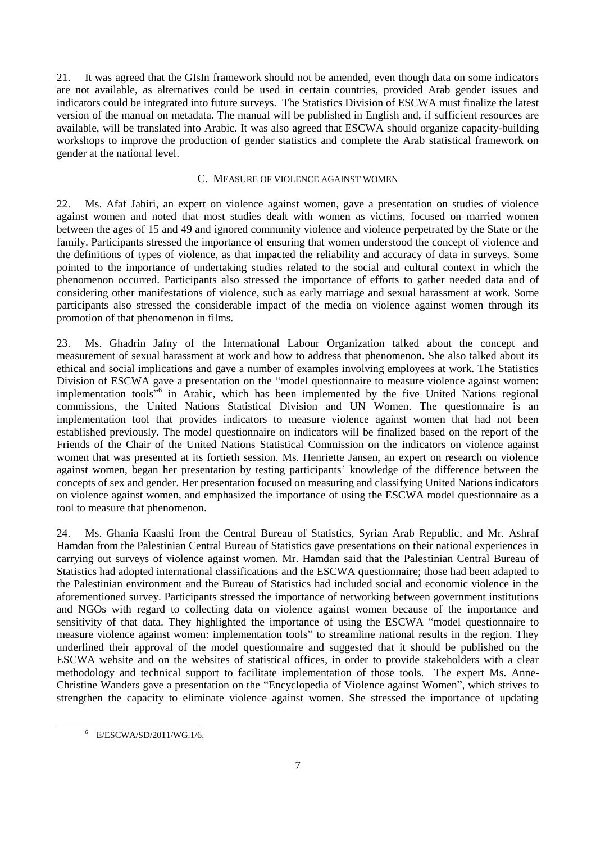21. It was agreed that the GIsIn framework should not be amended, even though data on some indicators are not available, as alternatives could be used in certain countries, provided Arab gender issues and indicators could be integrated into future surveys. The Statistics Division of ESCWA must finalize the latest version of the manual on metadata. The manual will be published in English and, if sufficient resources are available, will be translated into Arabic. It was also agreed that ESCWA should organize capacity-building workshops to improve the production of gender statistics and complete the Arab statistical framework on gender at the national level.

### C. MEASURE OF VIOLENCE AGAINST WOMEN

22. Ms. Afaf Jabiri, an expert on violence against women, gave a presentation on studies of violence against women and noted that most studies dealt with women as victims, focused on married women between the ages of 15 and 49 and ignored community violence and violence perpetrated by the State or the family. Participants stressed the importance of ensuring that women understood the concept of violence and the definitions of types of violence, as that impacted the reliability and accuracy of data in surveys. Some pointed to the importance of undertaking studies related to the social and cultural context in which the phenomenon occurred. Participants also stressed the importance of efforts to gather needed data and of considering other manifestations of violence, such as early marriage and sexual harassment at work. Some participants also stressed the considerable impact of the media on violence against women through its promotion of that phenomenon in films.

23. Ms. Ghadrin Jafny of the International Labour Organization talked about the concept and measurement of sexual harassment at work and how to address that phenomenon. She also talked about its ethical and social implications and gave a number of examples involving employees at work. The Statistics Division of ESCWA gave a presentation on the "model questionnaire to measure violence against women: implementation tools<sup>56</sup> in Arabic, which has been implemented by the five United Nations regional commissions, the United Nations Statistical Division and UN Women. The questionnaire is an implementation tool that provides indicators to measure violence against women that had not been established previously. The model questionnaire on indicators will be finalized based on the report of the Friends of the Chair of the United Nations Statistical Commission on the indicators on violence against women that was presented at its fortieth session. Ms. Henriette Jansen, an expert on research on violence against women, began her presentation by testing participants' knowledge of the difference between the concepts of sex and gender. Her presentation focused on measuring and classifying United Nations indicators on violence against women, and emphasized the importance of using the ESCWA model questionnaire as a tool to measure that phenomenon.

24. Ms. Ghania Kaashi from the Central Bureau of Statistics, Syrian Arab Republic, and Mr. Ashraf Hamdan from the Palestinian Central Bureau of Statistics gave presentations on their national experiences in carrying out surveys of violence against women. Mr. Hamdan said that the Palestinian Central Bureau of Statistics had adopted international classifications and the ESCWA questionnaire; those had been adapted to the Palestinian environment and the Bureau of Statistics had included social and economic violence in the aforementioned survey. Participants stressed the importance of networking between government institutions and NGOs with regard to collecting data on violence against women because of the importance and sensitivity of that data. They highlighted the importance of using the ESCWA "model questionnaire to measure violence against women: implementation tools" to streamline national results in the region. They underlined their approval of the model questionnaire and suggested that it should be published on the ESCWA website and on the websites of statistical offices, in order to provide stakeholders with a clear methodology and technical support to facilitate implementation of those tools. The expert Ms. Anne-Christine Wanders gave a presentation on the "Encyclopedia of Violence against Women", which strives to strengthen the capacity to eliminate violence against women. She stressed the importance of updating

 $6$  E/ESCWA/SD/2011/WG.1/6.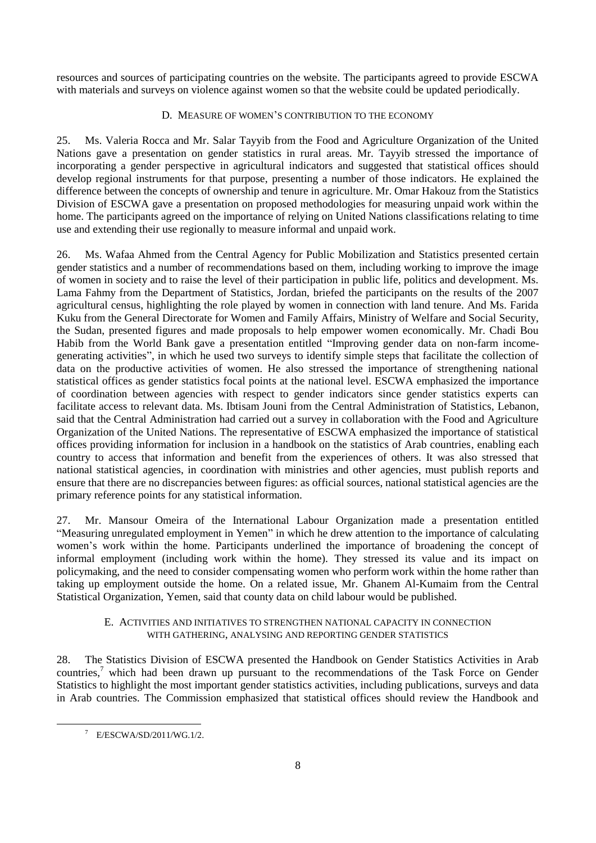resources and sources of participating countries on the website. The participants agreed to provide ESCWA with materials and surveys on violence against women so that the website could be updated periodically.

# D. MEASURE OF WOMEN'S CONTRIBUTION TO THE ECONOMY

25. Ms. Valeria Rocca and Mr. Salar Tayyib from the Food and Agriculture Organization of the United Nations gave a presentation on gender statistics in rural areas. Mr. Tayyib stressed the importance of incorporating a gender perspective in agricultural indicators and suggested that statistical offices should develop regional instruments for that purpose, presenting a number of those indicators. He explained the difference between the concepts of ownership and tenure in agriculture. Mr. Omar Hakouz from the Statistics Division of ESCWA gave a presentation on proposed methodologies for measuring unpaid work within the home. The participants agreed on the importance of relying on United Nations classifications relating to time use and extending their use regionally to measure informal and unpaid work.

26. Ms. Wafaa Ahmed from the Central Agency for Public Mobilization and Statistics presented certain gender statistics and a number of recommendations based on them, including working to improve the image of women in society and to raise the level of their participation in public life, politics and development. Ms. Lama Fahmy from the Department of Statistics, Jordan, briefed the participants on the results of the 2007 agricultural census, highlighting the role played by women in connection with land tenure. And Ms. Farida Kuku from the General Directorate for Women and Family Affairs, Ministry of Welfare and Social Security, the Sudan, presented figures and made proposals to help empower women economically. Mr. Chadi Bou Habib from the World Bank gave a presentation entitled "Improving gender data on non-farm incomegenerating activities", in which he used two surveys to identify simple steps that facilitate the collection of data on the productive activities of women. He also stressed the importance of strengthening national statistical offices as gender statistics focal points at the national level. ESCWA emphasized the importance of coordination between agencies with respect to gender indicators since gender statistics experts can facilitate access to relevant data. Ms. Ibtisam Jouni from the Central Administration of Statistics, Lebanon, said that the Central Administration had carried out a survey in collaboration with the Food and Agriculture Organization of the United Nations. The representative of ESCWA emphasized the importance of statistical offices providing information for inclusion in a handbook on the statistics of Arab countries, enabling each country to access that information and benefit from the experiences of others. It was also stressed that national statistical agencies, in coordination with ministries and other agencies, must publish reports and ensure that there are no discrepancies between figures: as official sources, national statistical agencies are the primary reference points for any statistical information.

27. Mr. Mansour Omeira of the International Labour Organization made a presentation entitled "Measuring unregulated employment in Yemen" in which he drew attention to the importance of calculating women's work within the home. Participants underlined the importance of broadening the concept of informal employment (including work within the home). They stressed its value and its impact on policymaking, and the need to consider compensating women who perform work within the home rather than taking up employment outside the home. On a related issue, Mr. Ghanem Al-Kumaim from the Central Statistical Organization, Yemen, said that county data on child labour would be published.

# E. ACTIVITIES AND INITIATIVES TO STRENGTHEN NATIONAL CAPACITY IN CONNECTION WITH GATHERING, ANALYSING AND REPORTING GENDER STATISTICS

28. The Statistics Division of ESCWA presented the Handbook on Gender Statistics Activities in Arab countries, $\frac{7}{1}$  which had been drawn up pursuant to the recommendations of the Task Force on Gender Statistics to highlight the most important gender statistics activities, including publications, surveys and data in Arab countries. The Commission emphasized that statistical offices should review the Handbook and

<sup>7</sup> E/ESCWA/SD/2011/WG.1/2.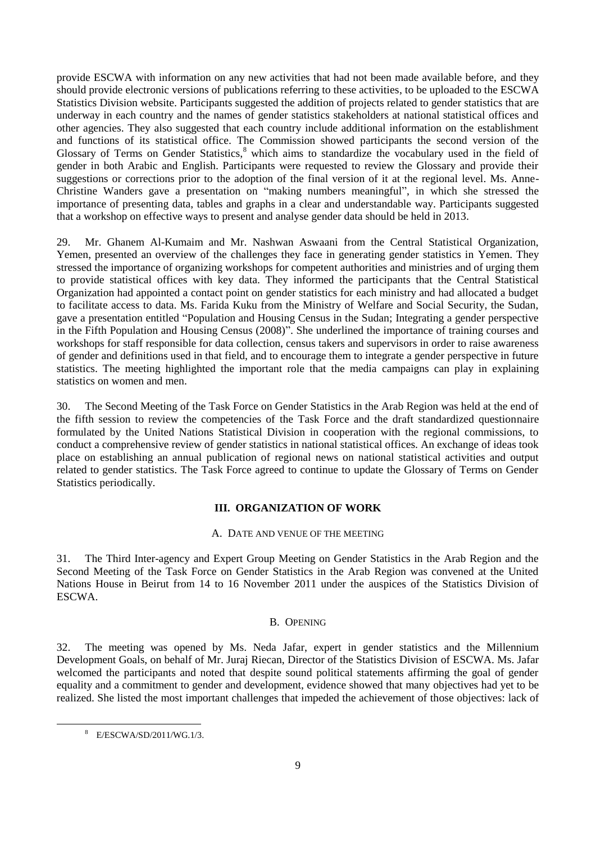provide ESCWA with information on any new activities that had not been made available before, and they should provide electronic versions of publications referring to these activities, to be uploaded to the ESCWA Statistics Division website. Participants suggested the addition of projects related to gender statistics that are underway in each country and the names of gender statistics stakeholders at national statistical offices and other agencies. They also suggested that each country include additional information on the establishment and functions of its statistical office. The Commission showed participants the second version of the Glossary of Terms on Gender Statistics,<sup>8</sup> which aims to standardize the vocabulary used in the field of gender in both Arabic and English. Participants were requested to review the Glossary and provide their suggestions or corrections prior to the adoption of the final version of it at the regional level. Ms. Anne-Christine Wanders gave a presentation on "making numbers meaningful", in which she stressed the importance of presenting data, tables and graphs in a clear and understandable way. Participants suggested that a workshop on effective ways to present and analyse gender data should be held in 2013.

29. Mr. Ghanem Al-Kumaim and Mr. Nashwan Aswaani from the Central Statistical Organization, Yemen, presented an overview of the challenges they face in generating gender statistics in Yemen. They stressed the importance of organizing workshops for competent authorities and ministries and of urging them to provide statistical offices with key data. They informed the participants that the Central Statistical Organization had appointed a contact point on gender statistics for each ministry and had allocated a budget to facilitate access to data. Ms. Farida Kuku from the Ministry of Welfare and Social Security, the Sudan, gave a presentation entitled "Population and Housing Census in the Sudan; Integrating a gender perspective in the Fifth Population and Housing Census (2008)". She underlined the importance of training courses and workshops for staff responsible for data collection, census takers and supervisors in order to raise awareness of gender and definitions used in that field, and to encourage them to integrate a gender perspective in future statistics. The meeting highlighted the important role that the media campaigns can play in explaining statistics on women and men.

30. The Second Meeting of the Task Force on Gender Statistics in the Arab Region was held at the end of the fifth session to review the competencies of the Task Force and the draft standardized questionnaire formulated by the United Nations Statistical Division in cooperation with the regional commissions, to conduct a comprehensive review of gender statistics in national statistical offices. An exchange of ideas took place on establishing an annual publication of regional news on national statistical activities and output related to gender statistics. The Task Force agreed to continue to update the Glossary of Terms on Gender Statistics periodically.

# **III. ORGANIZATION OF WORK**

# A. DATE AND VENUE OF THE MEETING

31. The Third Inter-agency and Expert Group Meeting on Gender Statistics in the Arab Region and the Second Meeting of the Task Force on Gender Statistics in the Arab Region was convened at the United Nations House in Beirut from 14 to 16 November 2011 under the auspices of the Statistics Division of ESCWA.

# B. OPENING

32. The meeting was opened by Ms. Neda Jafar, expert in gender statistics and the Millennium Development Goals, on behalf of Mr. Juraj Riecan, Director of the Statistics Division of ESCWA. Ms. Jafar welcomed the participants and noted that despite sound political statements affirming the goal of gender equality and a commitment to gender and development, evidence showed that many objectives had yet to be realized. She listed the most important challenges that impeded the achievement of those objectives: lack of

<sup>8</sup> E/ESCWA/SD/2011/WG.1/3.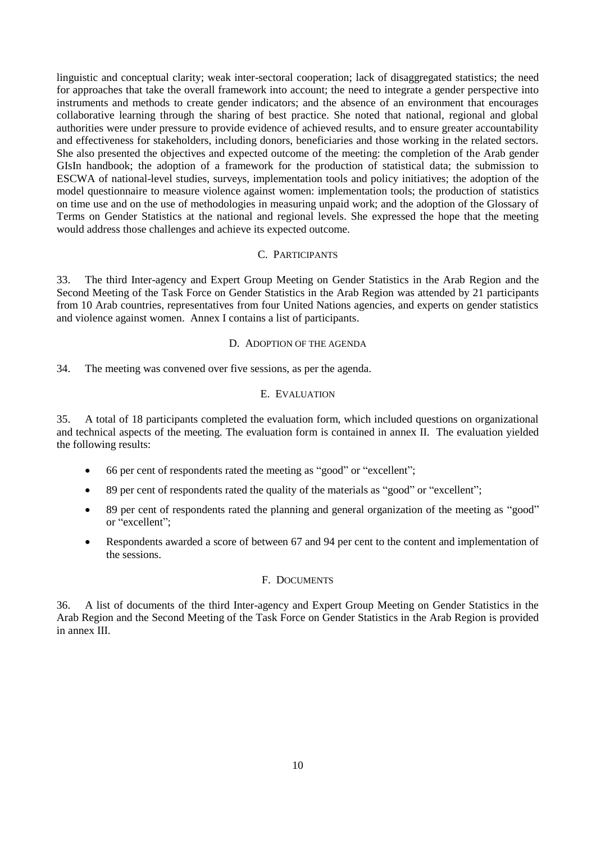linguistic and conceptual clarity; weak inter-sectoral cooperation; lack of disaggregated statistics; the need for approaches that take the overall framework into account; the need to integrate a gender perspective into instruments and methods to create gender indicators; and the absence of an environment that encourages collaborative learning through the sharing of best practice. She noted that national, regional and global authorities were under pressure to provide evidence of achieved results, and to ensure greater accountability and effectiveness for stakeholders, including donors, beneficiaries and those working in the related sectors. She also presented the objectives and expected outcome of the meeting: the completion of the Arab gender GIsIn handbook; the adoption of a framework for the production of statistical data; the submission to ESCWA of national-level studies, surveys, implementation tools and policy initiatives; the adoption of the model questionnaire to measure violence against women: implementation tools; the production of statistics on time use and on the use of methodologies in measuring unpaid work; and the adoption of the Glossary of Terms on Gender Statistics at the national and regional levels. She expressed the hope that the meeting would address those challenges and achieve its expected outcome.

## C. PARTICIPANTS

33. The third Inter-agency and Expert Group Meeting on Gender Statistics in the Arab Region and the Second Meeting of the Task Force on Gender Statistics in the Arab Region was attended by 21 participants from 10 Arab countries, representatives from four United Nations agencies, and experts on gender statistics and violence against women. Annex I contains a list of participants.

### D. ADOPTION OF THE AGENDA

34. The meeting was convened over five sessions, as per the agenda.

### E. EVALUATION

35. A total of 18 participants completed the evaluation form, which included questions on organizational and technical aspects of the meeting. The evaluation form is contained in annex II. The evaluation yielded the following results:

- 66 per cent of respondents rated the meeting as "good" or "excellent";
- 89 per cent of respondents rated the quality of the materials as "good" or "excellent";
- 89 per cent of respondents rated the planning and general organization of the meeting as "good" or "excellent";
- Respondents awarded a score of between 67 and 94 per cent to the content and implementation of the sessions.

# F. DOCUMENTS

36. A list of documents of the third Inter-agency and Expert Group Meeting on Gender Statistics in the Arab Region and the Second Meeting of the Task Force on Gender Statistics in the Arab Region is provided in annex III.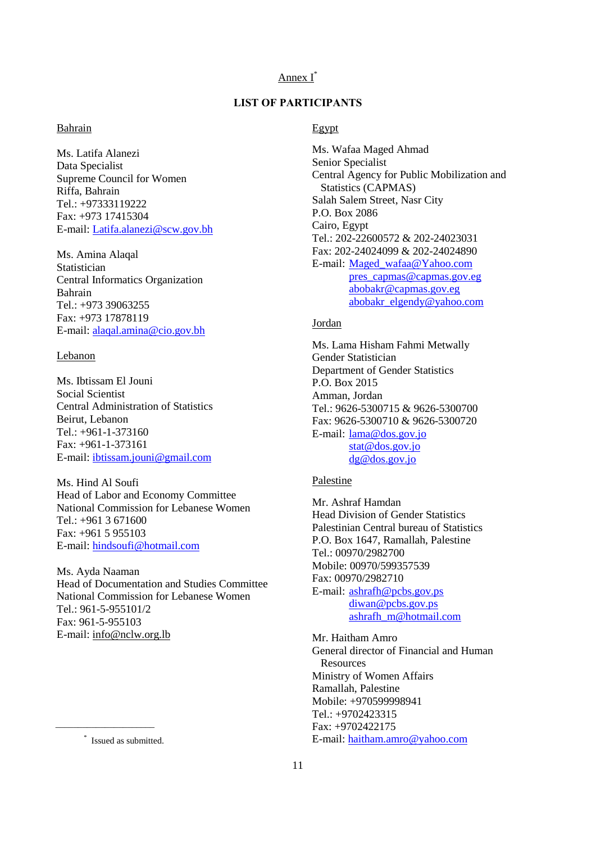# Annex I\*

# **LIST OF PARTICIPANTS**

# Bahrain

Ms. Latifa Alanezi Data Specialist Supreme Council for Women Riffa, Bahrain Tel.: +97333119222 Fax: +973 17415304 E-mail: [Latifa.alanezi@scw.gov.bh](mailto:Latifa.alanezi@scw.gov.bh)

Ms. Amina Alaqal Statistician Central Informatics Organization Bahrain Tel.: +973 39063255 Fax: +973 17878119 E-mail: [alaqal.amina@cio.gov.bh](mailto:alaqal.amina@cio.gov.bh)

### Lebanon

Ms. Ibtissam El Jouni Social Scientist Central Administration of Statistics Beirut, Lebanon Tel.: +961-1-373160 Fax: +961-1-373161 E-mail: [ibtissam.jouni@gmail.com](mailto:ibtissam.jouni@gmail.com)

Ms. Hind Al Soufi Head of Labor and Economy Committee National Commission for Lebanese Women Tel.: +961 3 671600 Fax: +961 5 955103 E-mail: [hindsoufi@hotmail.com](mailto:hindsoufi@hotmail.com)

Ms. Ayda Naaman Head of Documentation and Studies Committee National Commission for Lebanese Women Tel.: 961-5-955101/2 Fax: 961-5-955103 E-mail: [info@nclw.org.lb](mailto:info@nclw.org.lb)

\_\_\_\_\_\_\_\_\_\_\_\_\_\_\_\_\_\_\_\_\_\_

## Egypt

Ms. Wafaa Maged Ahmad Senior Specialist Central Agency for Public Mobilization and Statistics (CAPMAS) Salah Salem Street, Nasr City P.O. Box 2086 Cairo, Egypt Tel.: 202-22600572 & 202-24023031 Fax: 202-24024099 & 202-24024890 E-mail: [Maged\\_wafaa@Yahoo.com](mailto:Maged_wafaa@Yahoo.com) [pres\\_capmas@capmas.gov.eg](mailto:pres_capmas@capmas.gov.eg) [abobakr@capmas.gov.eg](mailto:abobakr@capmas.gov.eg) [abobakr\\_elgendy@yahoo.com](mailto:abobakr_elgendy@yahoo.com)

# Jordan

Ms. Lama Hisham Fahmi Metwally Gender Statistician Department of Gender Statistics P.O. Box 2015 Amman, Jordan Tel.: 9626-5300715 & 9626-5300700 Fax: 9626-5300710 & 9626-5300720 E-mail: [lama@dos.gov.jo](mailto:lama@dos.gov.jo) [stat@dos.gov.jo](mailto:stat@dos.gov.jo) [dg@dos.gov.jo](mailto:dg@dos.gov.jo)

### Palestine

Mr. Ashraf Hamdan Head Division of Gender Statistics Palestinian Central bureau of Statistics P.O. Box 1647, Ramallah, Palestine Tel.: 00970/2982700 Mobile: 00970/599357539 Fax: 00970/2982710 E-mail: [ashrafh@pcbs.gov.ps](mailto:ashrafh@pcbs.gov.ps) [diwan@pcbs.gov.ps](mailto:diwan@pcbs.gov.ps) [ashrafh\\_m@hotmail.com](mailto:ashrafh_m@hotmail.com)

Mr. Haitham Amro General director of Financial and Human **Resources** Ministry of Women Affairs Ramallah, Palestine Mobile: +970599998941 Tel.: +9702423315 Fax: +9702422175 E-mail: [haitham.amro@yahoo.com](mailto:haitham.amro@yahoo.com)

<sup>\*</sup> Issued as submitted.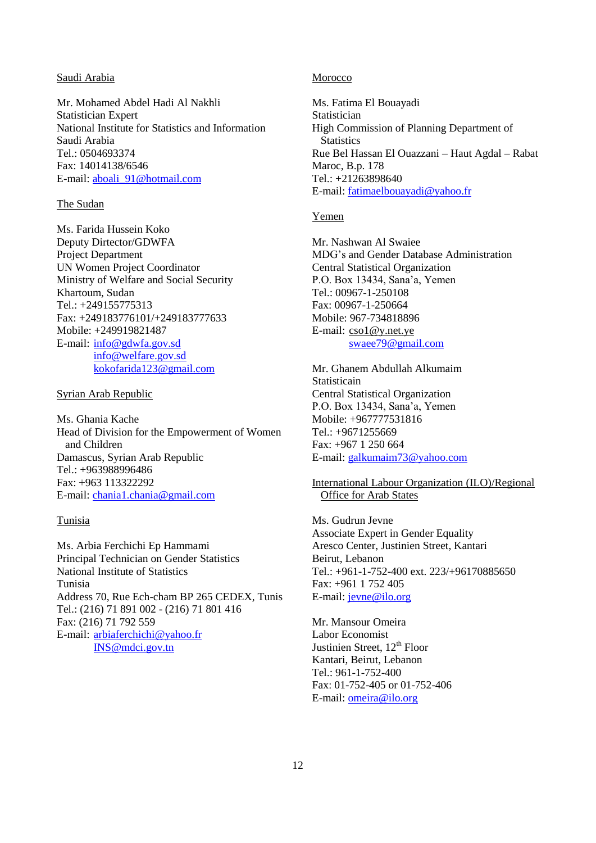### Saudi Arabia

Mr. Mohamed Abdel Hadi Al Nakhli Statistician Expert National Institute for Statistics and Information Saudi Arabia Tel.: 0504693374 Fax: 14014138/6546 E-mail: [aboali\\_91@hotmail.com](mailto:aboali_91@hotmail.com)

### The Sudan

Ms. Farida Hussein Koko Deputy Dirtector/GDWFA Project Department UN Women Project Coordinator Ministry of Welfare and Social Security Khartoum, Sudan Tel.: +249155775313 Fax: +249183776101/+249183777633 Mobile: +249919821487 E-mail: [info@gdwfa.gov.sd](mailto:info@gdwfa.gov.sd) [info@welfare.gov.sd](mailto:info@welfare.gov.sd) [kokofarida123@gmail.com](mailto:kokofarida123@gmail.com)

### Syrian Arab Republic

Ms. Ghania Kache Head of Division for the Empowerment of Women and Children Damascus, Syrian Arab Republic Tel.: +963988996486 Fax: +963 113322292 E-mail: [chania1.chania@gmail.com](mailto:chania1.chania@gmail.com)

### Tunisia

Ms. Arbia Ferchichi Ep Hammami Principal Technician on Gender Statistics National Institute of Statistics Tunisia Address 70, Rue Ech-cham BP 265 CEDEX, Tunis Tel.: (216) 71 891 002 - (216) 71 801 416 Fax: (216) 71 792 559 E-mail: [arbiaferchichi@yahoo.fr](mailto:arbiaferchichi@yahoo.fr) [INS@mdci.gov.tn](mailto:INS@mdci.gov.tn)

### Morocco

Ms. Fatima El Bouayadi **Statistician** High Commission of Planning Department of **Statistics** Rue Bel Hassan El Ouazzani – Haut Agdal – Rabat Maroc, B.p. 178 Tel.: +21263898640 E-mail: [fatimaelbouayadi@yahoo.fr](mailto:fatimaelbouayadi@yahoo.fr)

### Yemen

Mr. Nashwan Al Swaiee MDG's and Gender Database Administration Central Statistical Organization P.O. Box 13434, Sana'a, Yemen Tel.: 00967-1-250108 Fax: 00967-1-250664 Mobile: 967-734818896 E-mail: [cso1@y.net.ye](mailto:cso1@y.net.ye) [swaee79@gmail.com](mailto:swaee79@gmail.com)

Mr. Ghanem Abdullah Alkumaim **Statisticain** Central Statistical Organization P.O. Box 13434, Sana'a, Yemen Mobile: +967777531816 Tel.: +9671255669 Fax: +967 1 250 664 E-mail: [galkumaim73@yahoo.com](mailto:galkumaim73@yahoo.com)

International Labour Organization (ILO)/Regional Office for Arab States

Ms. Gudrun Jevne Associate Expert in Gender Equality Aresco Center, Justinien Street, Kantari Beirut, Lebanon Tel.: +961-1-752-400 ext. 223/+96170885650 Fax: +961 1 752 405 E-mail: [jevne@ilo.org](mailto:jevne@ilo.org)

Mr. Mansour Omeira Labor Economist Justinien Street,  $12^{th}$  Floor Kantari, Beirut, Lebanon Tel.: 961-1-752-400 Fax: 01-752-405 or 01-752-406 E-mail: **omeira@ilo.org**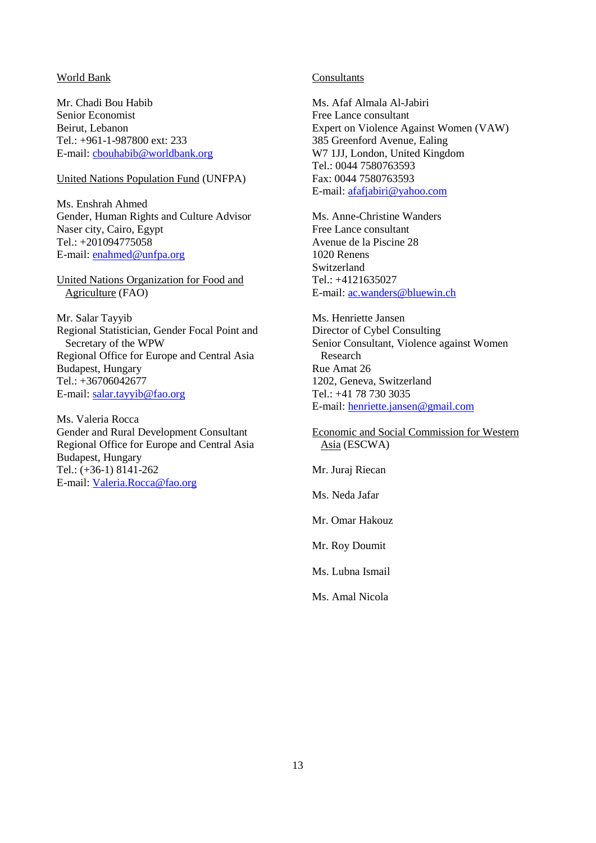### World Bank

Mr. Chadi Bou Habib Senior Economist Beirut, Lebanon Tel.: +961-1-987800 ext: 233 E-mail: [cbouhabib@worldbank.org](mailto:cbouhabib@worldbank.org)

# United Nations Population Fund (UNFPA)

Ms. Enshrah Ahmed Gender, Human Rights and Culture Advisor Naser city, Cairo, Egypt Tel.: +201094775058 E-mail: [enahmed@unfpa.org](mailto:enahmed@unfpa.org)

United Nations Organization for Food and Agriculture (FAO)

Mr. Salar Tayyib Regional Statistician, Gender Focal Point and Secretary of the WPW Regional Office for Europe and Central Asia Budapest, Hungary Tel.: +36706042677 E-mail: [salar.tayyib@fao.org](mailto:salar.tayyib@fao.org)

Ms. Valeria Rocca Gender and Rural Development Consultant Regional Office for Europe and Central Asia Budapest, Hungary Tel.: (+36-1) 8141-262 E-mail: [Valeria.Rocca@fao.org](mailto:Valeria.Rocca@fao.org)

## Consultants

Ms. Afaf Almala Al-Jabiri Free Lance consultant Expert on Violence Against Women (VAW) 385 Greenford Avenue, Ealing W7 1JJ, London, United Kingdom Tel.: 0044 7580763593 Fax: 0044 7580763593 E-mail: [afafjabiri@yahoo.com](mailto:afafjabiri@yahoo.com)

Ms. Anne-Christine Wanders Free Lance consultant Avenue de la Piscine 28 1020 Renens Switzerland Tel.: +4121635027 E-mail: [ac.wanders@bluewin.ch](mailto:ac.wanders@bluewin.ch)

Ms. Henriette Jansen Director of Cybel Consulting Senior Consultant, Violence against Women Research Rue Amat 26 1202, Geneva, Switzerland Tel.: +41 78 730 3035 E-mail: [henriette.jansen@gmail.com](mailto:henriette.jansen@gmail.com)

Economic and Social Commission for Western Asia (ESCWA)

Mr. Juraj Riecan

Ms. Neda Jafar

Mr. Omar Hakouz

Mr. Roy Doumit

Ms. Lubna Ismail

Ms. Amal Nicola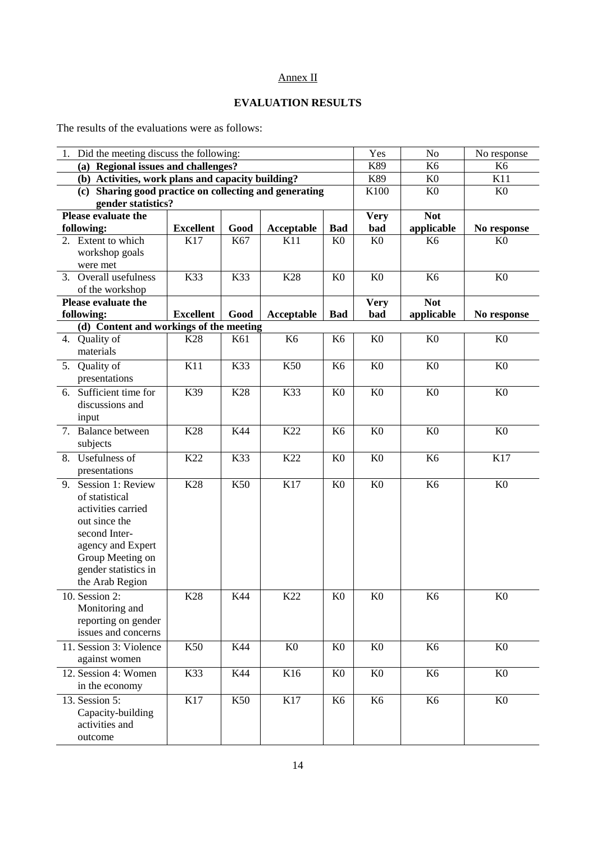# Annex II

# **EVALUATION RESULTS**

The results of the evaluations were as follows:

| 1. Did the meeting discuss the following:                                    |                  |      |                |                | Yes            | N <sub>o</sub> | No response    |
|------------------------------------------------------------------------------|------------------|------|----------------|----------------|----------------|----------------|----------------|
| (a) Regional issues and challenges?                                          |                  |      |                |                | K89            | K <sub>6</sub> | K <sub>6</sub> |
| (b) Activities, work plans and capacity building?                            |                  |      |                |                | K89            | K <sub>0</sub> | K11            |
| (c) Sharing good practice on collecting and generating<br>gender statistics? |                  |      |                | K100           | K <sub>0</sub> | K <sub>0</sub> |                |
| Please evaluate the                                                          |                  |      |                |                | <b>Very</b>    | <b>Not</b>     |                |
| following:                                                                   | <b>Excellent</b> | Good | Acceptable     | <b>Bad</b>     | bad            | applicable     | No response    |
| 2. Extent to which                                                           | K17              | K67  | K11            | K <sub>0</sub> | K <sub>0</sub> | K <sub>6</sub> | K <sub>0</sub> |
| workshop goals                                                               |                  |      |                |                |                |                |                |
| were met                                                                     |                  |      |                |                |                |                |                |
| 3. Overall usefulness<br>of the workshop                                     | K33              | K33  | K28            | K <sub>0</sub> | K <sub>0</sub> | K <sub>6</sub> | K <sub>0</sub> |
| Please evaluate the                                                          |                  |      |                |                | <b>Very</b>    | <b>Not</b>     |                |
| following:                                                                   | <b>Excellent</b> | Good | Acceptable     | <b>Bad</b>     | bad            | applicable     | No response    |
| (d) Content and workings of the meeting                                      |                  |      |                |                |                |                |                |
| Quality of<br>4.                                                             | K <sub>28</sub>  | K61  | K <sub>6</sub> | K <sub>6</sub> | K <sub>0</sub> | K <sub>0</sub> | K <sub>0</sub> |
| materials                                                                    |                  |      |                |                |                |                |                |
| Quality of<br>5.                                                             | K11              | K33  | K50            | K <sub>6</sub> | K <sub>0</sub> | K <sub>0</sub> | K <sub>0</sub> |
| presentations                                                                |                  |      |                |                |                |                |                |
| Sufficient time for<br>6.                                                    | K39              | K28  | K33            | K <sub>0</sub> | K <sub>0</sub> | K <sub>0</sub> | K <sub>0</sub> |
| discussions and                                                              |                  |      |                |                |                |                |                |
| input                                                                        |                  |      |                |                |                |                |                |
| 7. Balance between                                                           | K28              | K44  | K22            | K <sub>6</sub> | K <sub>0</sub> | K <sub>0</sub> | K <sub>0</sub> |
| subjects                                                                     |                  |      |                |                |                |                |                |
| 8. Usefulness of                                                             | K22              | K33  | K22            | K <sub>0</sub> | K <sub>0</sub> | K <sub>6</sub> | K17            |
| presentations                                                                |                  |      |                |                |                |                |                |
| 9. Session 1: Review                                                         | K28              | K50  | K17            | K <sub>0</sub> | K <sub>0</sub> | K <sub>6</sub> | K <sub>0</sub> |
| of statistical                                                               |                  |      |                |                |                |                |                |
| activities carried                                                           |                  |      |                |                |                |                |                |
| out since the                                                                |                  |      |                |                |                |                |                |
| second Inter-                                                                |                  |      |                |                |                |                |                |
| agency and Expert                                                            |                  |      |                |                |                |                |                |
| Group Meeting on<br>gender statistics in                                     |                  |      |                |                |                |                |                |
| the Arab Region                                                              |                  |      |                |                |                |                |                |
|                                                                              | K28              |      | K22            |                |                |                | K <sub>0</sub> |
| 10. Session $2$ :<br>Monitoring and                                          |                  | K44  |                | K <sub>0</sub> | K <sub>0</sub> | K6             |                |
| reporting on gender                                                          |                  |      |                |                |                |                |                |
| issues and concerns                                                          |                  |      |                |                |                |                |                |
| 11. Session 3: Violence                                                      | K50              | K44  | K <sub>0</sub> | K <sub>0</sub> | K <sub>0</sub> | K <sub>6</sub> | K <sub>0</sub> |
| against women                                                                |                  |      |                |                |                |                |                |
| 12. Session 4: Women                                                         | K33              | K44  | K16            | K <sub>0</sub> | K <sub>0</sub> | K <sub>6</sub> | K <sub>0</sub> |
| in the economy                                                               |                  |      |                |                |                |                |                |
| 13. Session 5:                                                               | K17              | K50  | K17            | K <sub>6</sub> | K <sub>6</sub> | K <sub>6</sub> | K <sub>0</sub> |
| Capacity-building                                                            |                  |      |                |                |                |                |                |
| activities and                                                               |                  |      |                |                |                |                |                |
| outcome                                                                      |                  |      |                |                |                |                |                |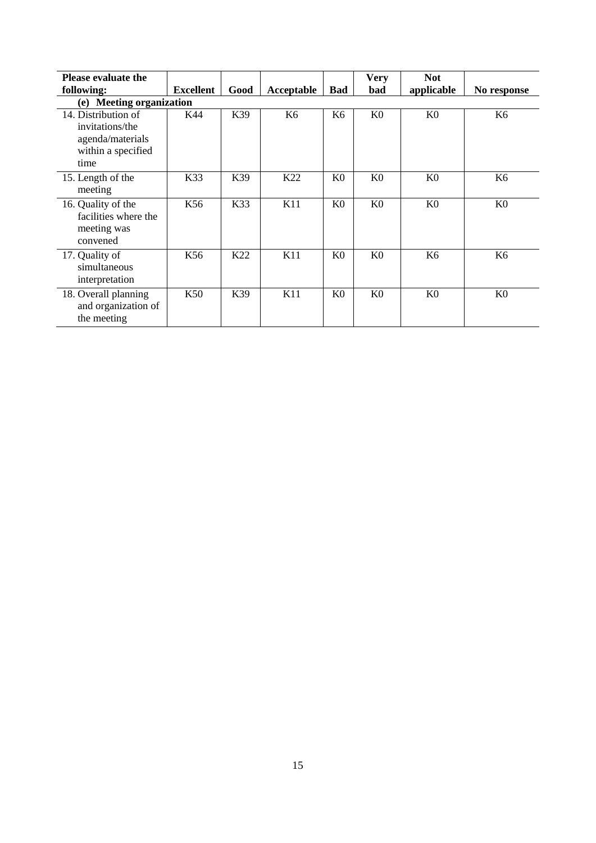| <b>Please evaluate the</b>                                                               |                  |      |                |                | <b>Very</b>    | <b>Not</b>     |                |
|------------------------------------------------------------------------------------------|------------------|------|----------------|----------------|----------------|----------------|----------------|
| following:                                                                               | <b>Excellent</b> | Good | Acceptable     | Bad            | bad            | applicable     | No response    |
| (e) Meeting organization                                                                 |                  |      |                |                |                |                |                |
| 14. Distribution of<br>invitations/the<br>agenda/materials<br>within a specified<br>time | K44              | K39  | K <sub>6</sub> | K <sub>6</sub> | K <sub>0</sub> | K <sub>0</sub> | K <sub>6</sub> |
| 15. Length of the<br>meeting                                                             | K33              | K39  | K22            | K <sub>0</sub> | K <sub>0</sub> | K <sub>0</sub> | K <sub>6</sub> |
| 16. Quality of the<br>facilities where the<br>meeting was<br>convened                    | K56              | K33  | K11            | K <sub>0</sub> | K <sub>0</sub> | K <sub>0</sub> | K <sub>0</sub> |
| 17. Quality of<br>simultaneous<br>interpretation                                         | K56              | K22  | K11            | K <sub>0</sub> | K <sub>0</sub> | K6             | K <sub>6</sub> |
| 18. Overall planning<br>and organization of<br>the meeting                               | K50              | K39  | K11            | K <sub>0</sub> | K <sub>0</sub> | K <sub>0</sub> | K <sub>0</sub> |